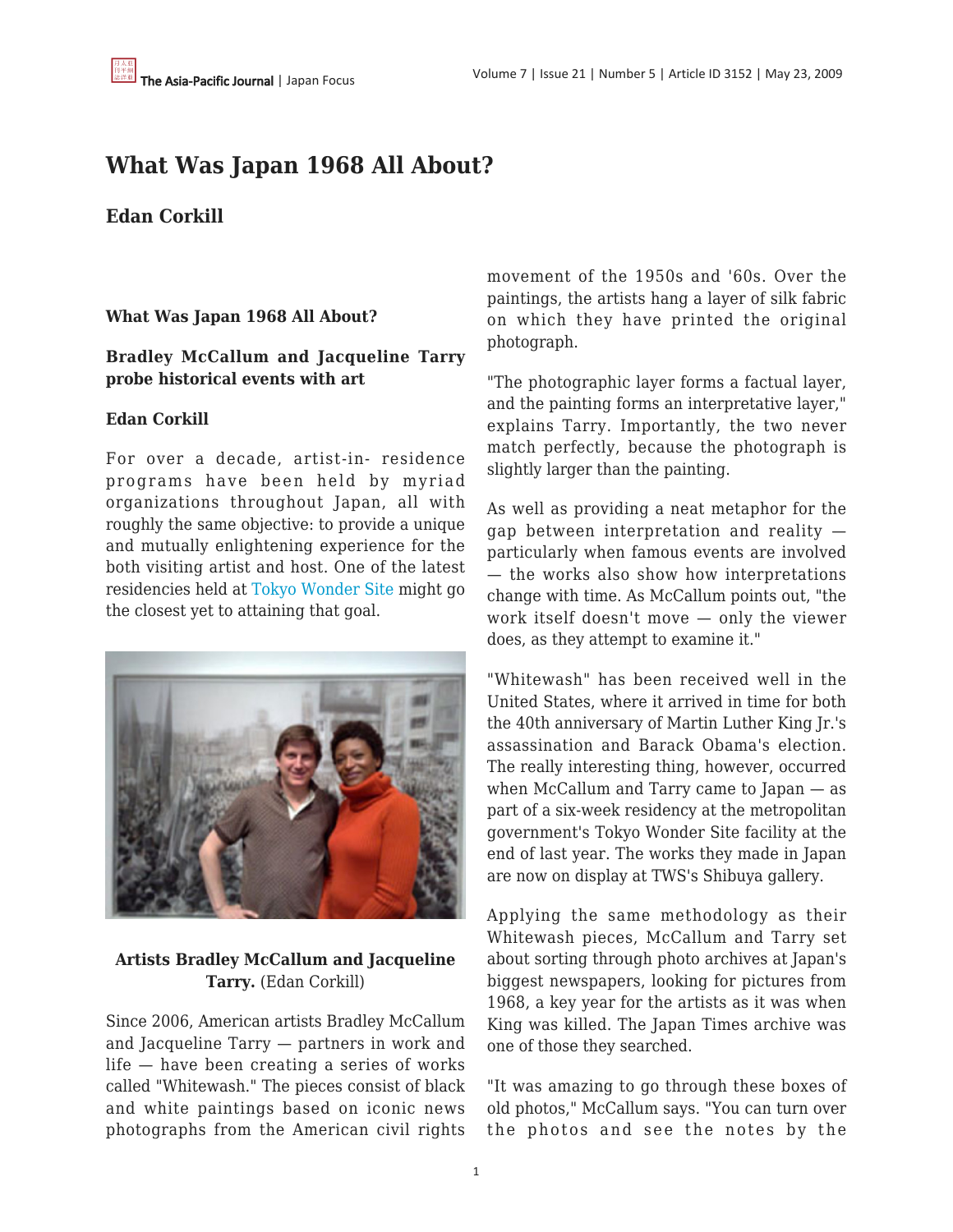# **What Was Japan 1968 All About?**

## **Edan Corkill**

### **What Was Japan 1968 All About?**

#### **Bradley McCallum and Jacqueline Tarry probe historical events with art**

#### **Edan Corkill**

For over a decade, artist-in- residence programs have been held by myriad organizations throughout Japan, all with roughly the same objective: to provide a unique and mutually enlightening experience for the both visiting artist and host. One of the latest residencies held at [Tokyo Wonder Site](http://www.tokyo-ws.org/english/archive/2009/04/questions-of-private-and-public-memory--1968-and-the-holocaust.shtml) might go the closest yet to attaining that goal.



## **Artists Bradley McCallum and Jacqueline Tarry.** (Edan Corkill)

Since 2006, American artists Bradley McCallum and Jacqueline Tarry — partners in work and life — have been creating a series of works called "Whitewash." The pieces consist of black and white paintings based on iconic news photographs from the American civil rights movement of the 1950s and '60s. Over the paintings, the artists hang a layer of silk fabric on which they have printed the original photograph.

"The photographic layer forms a factual layer, and the painting forms an interpretative layer," explains Tarry. Importantly, the two never match perfectly, because the photograph is slightly larger than the painting.

As well as providing a neat metaphor for the gap between interpretation and reality particularly when famous events are involved — the works also show how interpretations change with time. As McCallum points out, "the work itself doesn't move — only the viewer does, as they attempt to examine it."

"Whitewash" has been received well in the United States, where it arrived in time for both the 40th anniversary of Martin Luther King Jr.'s assassination and Barack Obama's election. The really interesting thing, however, occurred when McCallum and Tarry came to Japan — as part of a six-week residency at the metropolitan government's Tokyo Wonder Site facility at the end of last year. The works they made in Japan are now on display at TWS's Shibuya gallery.

Applying the same methodology as their Whitewash pieces, McCallum and Tarry set about sorting through photo archives at Japan's biggest newspapers, looking for pictures from 1968, a key year for the artists as it was when King was killed. The Japan Times archive was one of those they searched.

"It was amazing to go through these boxes of old photos," McCallum says. "You can turn over the photos and see the notes by the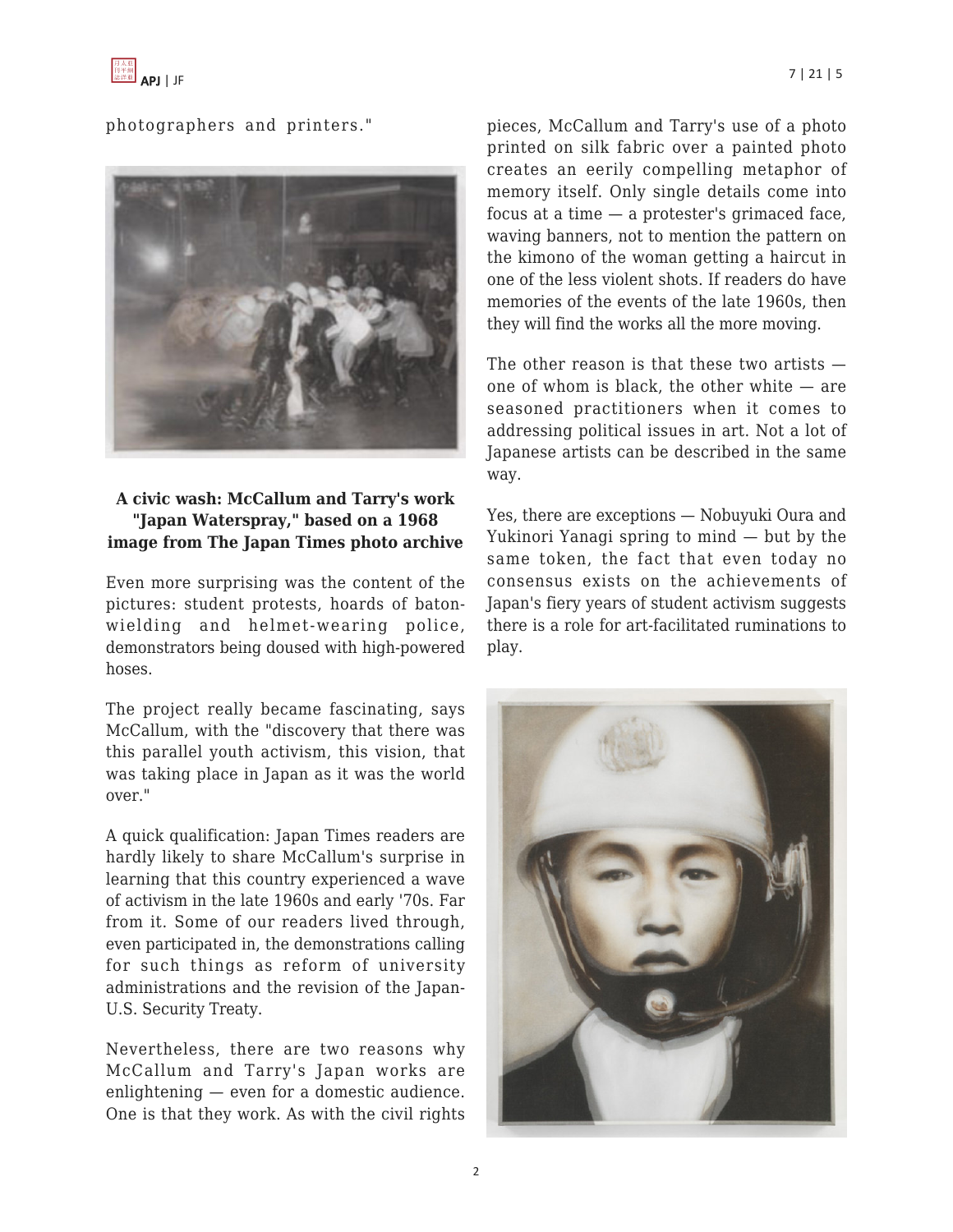

photographers and printers."



## **A civic wash: McCallum and Tarry's work "Japan Waterspray," based on a 1968 image from The Japan Times photo archive**

Even more surprising was the content of the pictures: student protests, hoards of batonwielding and helmet-wearing police, demonstrators being doused with high-powered hoses.

The project really became fascinating, says McCallum, with the "discovery that there was this parallel youth activism, this vision, that was taking place in Japan as it was the world over."

A quick qualification: Japan Times readers are hardly likely to share McCallum's surprise in learning that this country experienced a wave of activism in the late 1960s and early '70s. Far from it. Some of our readers lived through, even participated in, the demonstrations calling for such things as reform of university administrations and the revision of the Japan-U.S. Security Treaty.

Nevertheless, there are two reasons why McCallum and Tarry's Japan works are enlightening — even for a domestic audience. One is that they work. As with the civil rights pieces, McCallum and Tarry's use of a photo printed on silk fabric over a painted photo creates an eerily compelling metaphor of memory itself. Only single details come into focus at a time — a protester's grimaced face, waving banners, not to mention the pattern on the kimono of the woman getting a haircut in one of the less violent shots. If readers do have memories of the events of the late 1960s, then they will find the works all the more moving.

The other reason is that these two artists  $$ one of whom is black, the other white — are seasoned practitioners when it comes to addressing political issues in art. Not a lot of Japanese artists can be described in the same way.

Yes, there are exceptions — Nobuyuki Oura and Yukinori Yanagi spring to mind — but by the same token, the fact that even today no consensus exists on the achievements of Japan's fiery years of student activism suggests there is a role for art-facilitated ruminations to play.